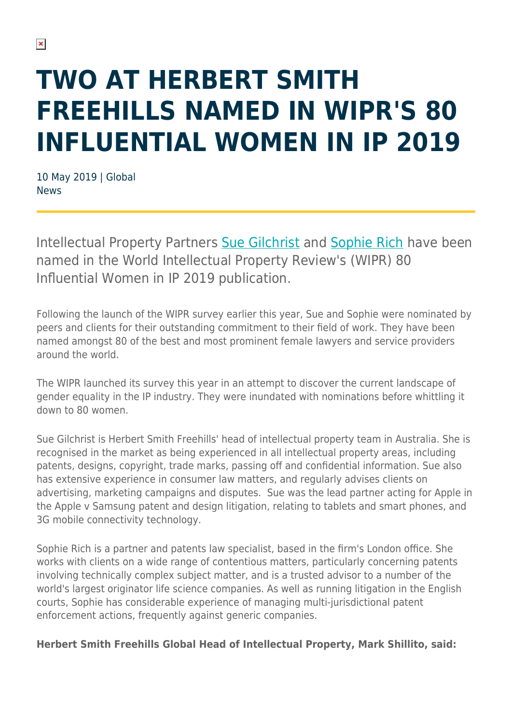## **TWO AT HERBERT SMITH FREEHILLS NAMED IN WIPR'S 80 INFLUENTIAL WOMEN IN IP 2019**

10 May 2019 | Global News

Intellectual Property Partners [Sue Gilchrist](https://www.herbertsmithfreehills.com/our-people/sue-gilchrist) and [Sophie Rich](https://www.herbertsmithfreehills.com/our-people/sophie-rich) have been named in the World Intellectual Property Review's (WIPR) 80 Influential Women in IP 2019 publication.

Following the launch of the WIPR survey earlier this year, Sue and Sophie were nominated by peers and clients for their outstanding commitment to their field of work. They have been named amongst 80 of the best and most prominent female lawyers and service providers around the world.

The WIPR launched its survey this year in an attempt to discover the current landscape of gender equality in the IP industry. They were inundated with nominations before whittling it down to 80 women.

Sue Gilchrist is Herbert Smith Freehills' head of intellectual property team in Australia. She is recognised in the market as being experienced in all intellectual property areas, including patents, designs, copyright, trade marks, passing off and confidential information. Sue also has extensive experience in consumer law matters, and regularly advises clients on advertising, marketing campaigns and disputes. Sue was the lead partner acting for Apple in the Apple v Samsung patent and design litigation, relating to tablets and smart phones, and 3G mobile connectivity technology.

Sophie Rich is a partner and patents law specialist, based in the firm's London office. She works with clients on a wide range of contentious matters, particularly concerning patents involving technically complex subject matter, and is a trusted advisor to a number of the world's largest originator life science companies. As well as running litigation in the English courts, Sophie has considerable experience of managing multi-jurisdictional patent enforcement actions, frequently against generic companies.

**Herbert Smith Freehills Global Head of Intellectual Property, Mark Shillito, said:**